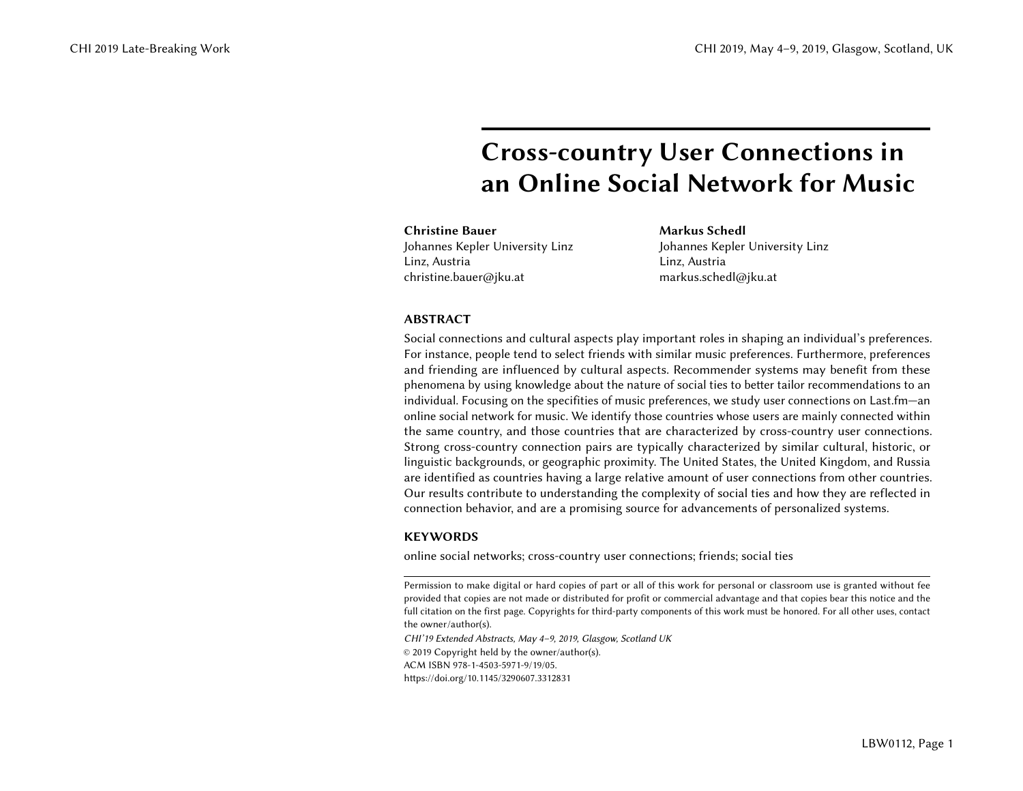# Cross-country User Connections in an Online Social Network for Music

Christine Bauer Johannes Kepler University Linz Linz, Austria christine.bauer@jku.at

Markus Schedl Johannes Kepler University Linz Linz, Austria markus.schedl@jku.at

# ABSTRACT

Social connections and cultural aspects play important roles in shaping an individual's preferences. For instance, people tend to select friends with similar music preferences. Furthermore, preferences and friending are influenced by cultural aspects. Recommender systems may benefit from these phenomena by using knowledge about the nature of social ties to better tailor recommendations to an individual. Focusing on the specifities of music preferences, we study user connections on Last.fm—an online social network for music. We identify those countries whose users are mainly connected within the same country, and those countries that are characterized by cross-country user connections. Strong cross-country connection pairs are typically characterized by similar cultural, historic, or linguistic backgrounds, or geographic proximity. The United States, the United Kingdom, and Russia are identified as countries having a large relative amount of user connections from other countries. Our results contribute to understanding the complexity of social ties and how they are reflected in connection behavior, and are a promising source for advancements of personalized systems.

# **KEYWORDS**

online social networks; cross-country user connections; friends; social ties

Permission to make digital or hard copies of part or all of this work for personal or classroom use is granted without fee provided that copies are not made or distributed for profit or commercial advantage and that copies bear this notice and the full citation on the first page. Copyrights for third-party components of this work must be honored. For all other uses, contact the owner/author(s).

CHI'19 Extended Abstracts, May 4–9, 2019, Glasgow, Scotland UK © 2019 Copyright held by the owner/author(s). ACM ISBN 978-1-4503-5971-9/19/05.

<https://doi.org/10.1145/3290607.3312831>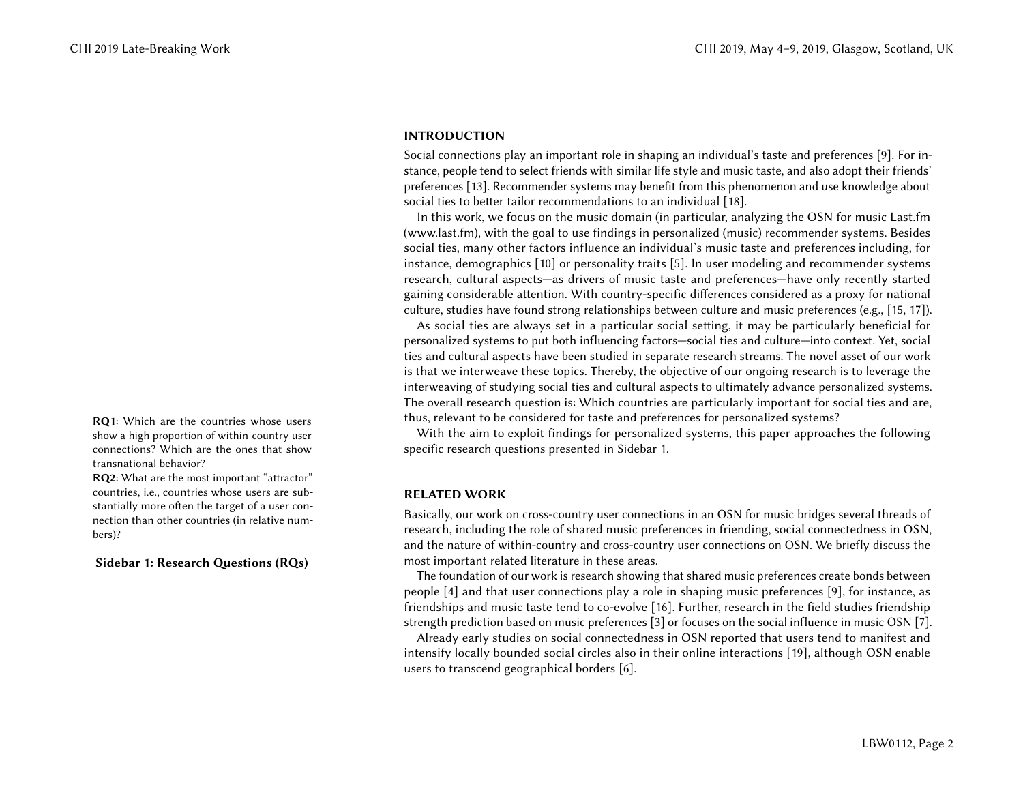# INTRODUCTION

Social connections play an important role in shaping an individual's taste and preferences [\[9\]](#page-5-0). For instance, people tend to select friends with similar life style and music taste, and also adopt their friends' preferences [\[13\]](#page-5-1). Recommender systems may benefit from this phenomenon and use knowledge about social ties to better tailor recommendations to an individual [\[18\]](#page-5-2).

In this work, we focus on the music domain (in particular, analyzing the OSN for music Last.fm [\(www.last.fm\)](www.last.fm), with the goal to use findings in personalized (music) recommender systems. Besides social ties, many other factors influence an individual's music taste and preferences including, for instance, demographics [\[10\]](#page-5-3) or personality traits [\[5\]](#page-5-4). In user modeling and recommender systems research, cultural aspects—as drivers of music taste and preferences—have only recently started gaining considerable attention. With country-specific differences considered as a proxy for national culture, studies have found strong relationships between culture and music preferences (e.g., [\[15,](#page-5-5) [17\]](#page-5-6)).

As social ties are always set in a particular social setting, it may be particularly beneficial for personalized systems to put both influencing factors—social ties and culture—into context. Yet, social ties and cultural aspects have been studied in separate research streams. The novel asset of our work is that we interweave these topics. Thereby, the objective of our ongoing research is to leverage the interweaving of studying social ties and cultural aspects to ultimately advance personalized systems. The overall research question is: Which countries are particularly important for social ties and are, RQ1: Which are the countries whose users thus, relevant to be considered for taste and preferences for personalized systems?

> <span id="page-1-0"></span>With the aim to exploit findings for personalized systems, this paper approaches the following specific research questions presented in Sidebar [1.](#page-1-0)

# RELATED WORK

Basically, our work on cross-country user connections in an OSN for music bridges several threads of research, including the role of shared music preferences in friending, social connectedness in OSN, and the nature of within-country and cross-country user connections on OSN. We briefly discuss the most important related literature in these areas.

The foundation of our work is research showing that shared music preferences create bonds between people [\[4\]](#page-5-7) and that user connections play a role in shaping music preferences [\[9\]](#page-5-0), for instance, as friendships and music taste tend to co-evolve [\[16\]](#page-5-8). Further, research in the field studies friendship strength prediction based on music preferences [\[3\]](#page-5-9) or focuses on the social influence in music OSN [\[7\]](#page-5-10).

Already early studies on social connectedness in OSN reported that users tend to manifest and intensify locally bounded social circles also in their online interactions [\[19\]](#page-5-11), although OSN enable users to transcend geographical borders [\[6\]](#page-5-12).

show a high proportion of within-country user connections? Which are the ones that show transnational behavior?

RQ2: What are the most important "attractor" countries, i.e., countries whose users are substantially more often the target of a user connection than other countries (in relative numbers)?

# Sidebar 1: Research Questions (RQs)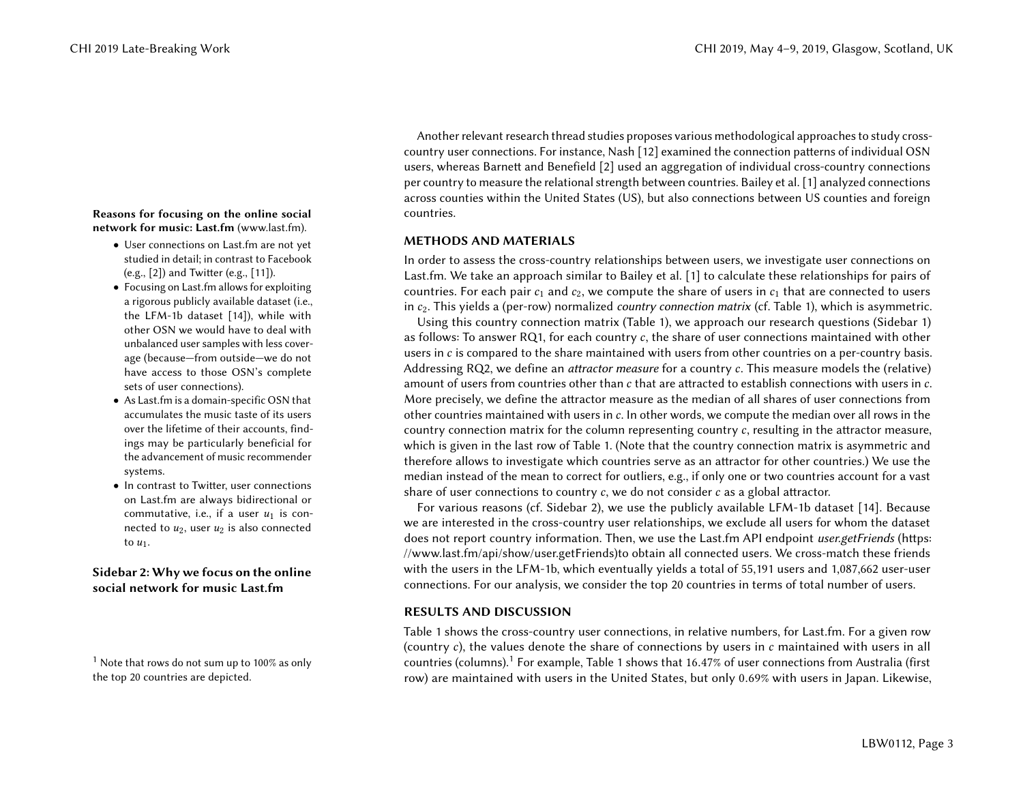### Reasons for focusing on the online social countries. network for music: Last.fm [\(www.last.fm\)](www.last.fm).

- User connections on Last.fm are not yet studied in detail; in contrast to Facebook (e.g., [\[2\]](#page-4-0)) and Twitter (e.g., [\[11\]](#page-5-14)).
- Focusing on Last.fm allows for exploiting a rigorous publicly available dataset (i.e., the LFM-1b dataset [\[14\]](#page-5-15)), while with other OSN we would have to deal with unbalanced user samples with less coverage (because—from outside—we do not have access to those OSN's complete sets of user connections).
- As Last.fm is a domain-specific OSN that accumulates the music taste of its users over the lifetime of their accounts, findings may be particularly beneficial for the advancement of music recommender systems.
- In contrast to Twitter, user connections on Last.fm are always bidirectional or commutative, i.e., if a user  $u_1$  is connected to  $u_2$ , user  $u_2$  is also connected to  $u_1$ .

# Sidebar 2: Why we focus on the online social network for music Last.fm

<span id="page-2-1"></span>

Another relevant research thread studies proposes various methodological approaches to study crosscountry user connections. For instance, Nash [\[12\]](#page-5-13) examined the connection patterns of individual OSN users, whereas Barnett and Benefield [\[2\]](#page-4-0) used an aggregation of individual cross-country connections per country to measure the relational strength between countries. Bailey et al. [\[1\]](#page-4-1) analyzed connections across counties within the United States (US), but also connections between US counties and foreign

# <span id="page-2-0"></span>METHODS AND MATERIALS

In order to assess the cross-country relationships between users, we investigate user connections on Last.fm. We take an approach similar to Bailey et al. [\[1\]](#page-4-1) to calculate these relationships for pairs of countries. For each pair  $c_1$  and  $c_2$ , we compute the share of users in  $c_1$  that are connected to users in  $c_2$ . This yields a (per-row) normalized *country connection matrix* (cf. Table [1\)](#page-4-2), which is asymmetric.

Using this country connection matrix (Table [1\)](#page-4-2), we approach our research questions (Sidebar [1\)](#page-1-0) as follows: To answer RQ1, for each country  $c$ , the share of user connections maintained with other users in c is compared to the share maintained with users from other countries on a per-country basis. Addressing RQ2, we define an attractor measure for a country c. This measure models the (relative) amount of users from countries other than c that are attracted to establish connections with users in c. More precisely, we define the attractor measure as the median of all shares of user connections from other countries maintained with users in  $c$ . In other words, we compute the median over all rows in the country connection matrix for the column representing country  $c$ , resulting in the attractor measure, which is given in the last row of Table [1.](#page-4-2) (Note that the country connection matrix is asymmetric and therefore allows to investigate which countries serve as an attractor for other countries.) We use the median instead of the mean to correct for outliers, e.g., if only one or two countries account for a vast share of user connections to country  $c$ , we do not consider  $c$  as a global attractor.

For various reasons (cf. Sidebar [2\)](#page-2-0), we use the publicly available LFM-1b dataset [\[14\]](#page-5-15). Because we are interested in the cross-country user relationships, we exclude all users for whom the dataset does not report country information. Then, we use the Last.fm API endpoint user.getFriends [\(https:](https://www.last.fm/api/show/user.getFriends) [//www.last.fm/api/show/user.getFriends\)](https://www.last.fm/api/show/user.getFriends)to obtain all connected users. We cross-match these friends with the users in the LFM-1b, which eventually yields a total of 55,191 users and 1,087,662 user-user connections. For our analysis, we consider the top 20 countries in terms of total number of users.

# RESULTS AND DISCUSSION

Table [1](#page-4-2) shows the cross-country user connections, in relative numbers, for Last.fm. For a given row (country c), the values denote the share of connections by users in c maintained with users in all <sup>[1](#page-2-1)</sup> Note that rows do not sum up to [1](#page-4-2)00% as only countries (columns).<sup>1</sup> For example, Table 1 shows that 16.47% of user connections from Australia (first the top 20 countries are depicted.  $\frac{1}{100}$  for  $\frac{1}{100}$  are row) are maintained with users in the United States, but only 0.69% with users in Japan. Likewise,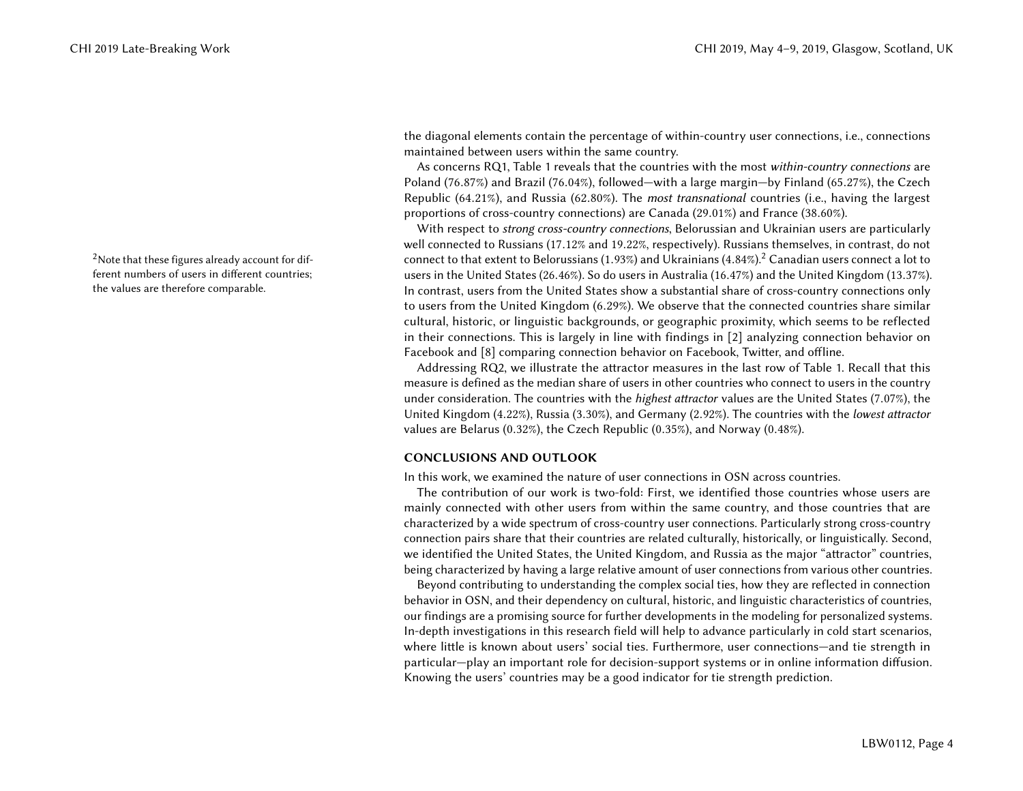<span id="page-3-0"></span>ferent numbers of users in different countries; the values are therefore comparable.

the diagonal elements contain the percentage of within-country user connections, i.e., connections maintained between users within the same country.

As concerns RQ1, Table [1](#page-4-2) reveals that the countries with the most within-country connections are Poland (76.87%) and Brazil (76.04%), followed—with a large margin—by Finland (65.27%), the Czech Republic (64.21%), and Russia (62.80%). The most transnational countries (i.e., having the largest proportions of cross-country connections) are Canada (29.01%) and France (38.60%).

With respect to *strong cross-country connections*, Belorussian and Ukrainian users are particularly well connected to Russians (17.12% and <sup>19</sup>.22%, respectively). Russians themselves, in contrast, do not <sup>[2](#page-3-0)</sup> Note that these figures already account for dif-<br>connect to that extent to Belorussians (1.93%) and Ukrainians (4.84%).<sup>2</sup> Canadian users connect a lot to users in the United States (26.46%). So do users in Australia (16.47%) and the United Kingdom (13.37%). In contrast, users from the United States show a substantial share of cross-country connections only to users from the United Kingdom (6.29%). We observe that the connected countries share similar cultural, historic, or linguistic backgrounds, or geographic proximity, which seems to be reflected in their connections. This is largely in line with findings in [\[2\]](#page-4-0) analyzing connection behavior on Facebook and [\[8\]](#page-5-16) comparing connection behavior on Facebook, Twitter, and offline.

> Addressing RQ2, we illustrate the attractor measures in the last row of Table [1.](#page-4-2) Recall that this measure is defined as the median share of users in other countries who connect to users in the country under consideration. The countries with the *highest attractor* values are the United States (7.07%), the United Kingdom (4.22%), Russia (3.30%), and Germany (2.92%). The countries with the lowest attractor values are Belarus (0.32%), the Czech Republic (0.35%), and Norway (0.48%).

### CONCLUSIONS AND OUTLOOK

In this work, we examined the nature of user connections in OSN across countries.

The contribution of our work is two-fold: First, we identified those countries whose users are mainly connected with other users from within the same country, and those countries that are characterized by a wide spectrum of cross-country user connections. Particularly strong cross-country connection pairs share that their countries are related culturally, historically, or linguistically. Second, we identified the United States, the United Kingdom, and Russia as the major "attractor" countries, being characterized by having a large relative amount of user connections from various other countries.

Beyond contributing to understanding the complex social ties, how they are reflected in connection behavior in OSN, and their dependency on cultural, historic, and linguistic characteristics of countries, our findings are a promising source for further developments in the modeling for personalized systems. In-depth investigations in this research field will help to advance particularly in cold start scenarios, where little is known about users' social ties. Furthermore, user connections—and tie strength in particular—play an important role for decision-support systems or in online information diffusion. Knowing the users' countries may be a good indicator for tie strength prediction.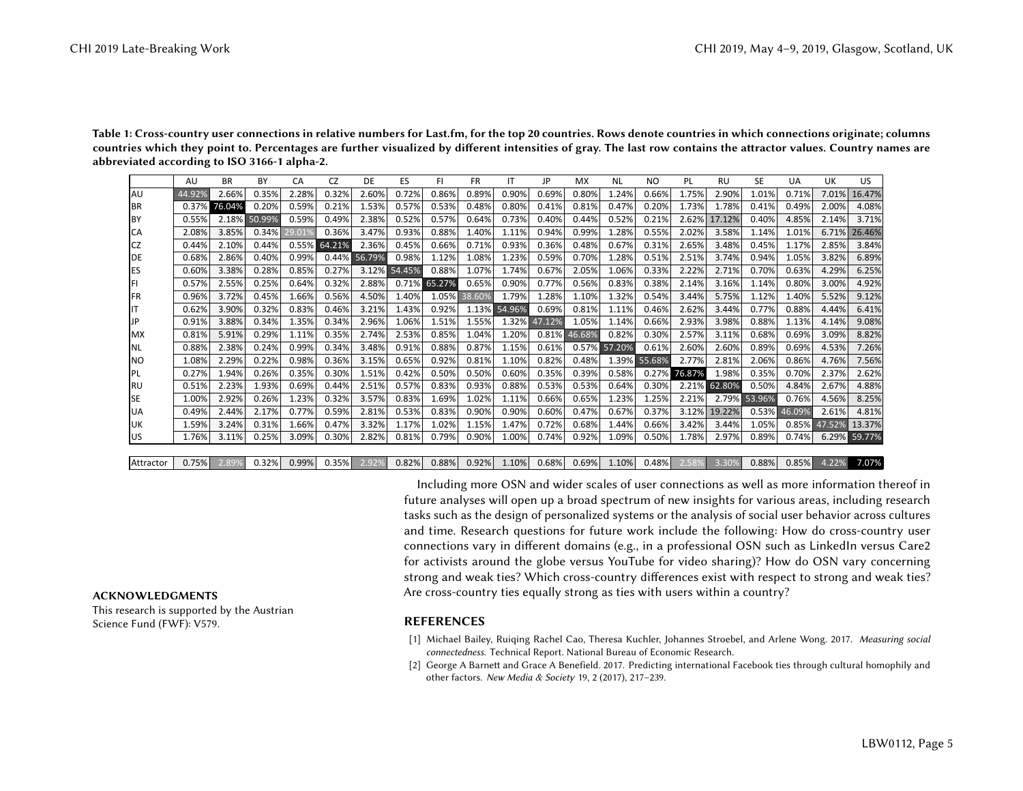<span id="page-4-2"></span>Table 1: Cross-country user connections in relative numbers for Last.fm, for the top 20 countries. Rows denote countries in which connections originate; columns countries which they point to. Percentages are further visualized by different intensities of gray. The last row contains the attractor values. Country names are abbreviated according to ISO 3166-1 alpha-2.

|           | AU     | <b>BR</b> | BY     | CA     | CZ           | DE     | ES     | FI           | <b>FR</b> | ΙT           | JP     | MX     | <b>NL</b>    | NO.          | PL     | RU     | <b>SE</b>    | UA     | UK     | US.    |
|-----------|--------|-----------|--------|--------|--------------|--------|--------|--------------|-----------|--------------|--------|--------|--------------|--------------|--------|--------|--------------|--------|--------|--------|
| AU        | 44.92% | 2.66%     | 0.35%  | 2.28%  | 0.32%        | 2.60%  | 0.72%  | 0.86%        | 0.89%     | 0.90%        | 0.69%  | 0.80%  | 1.24%        | 0.66%        | 1.75%  | 2.90%  | 1.01%        | 0.71%  | 7.01%  | 16.47% |
| <b>BR</b> | 0.37%  | 76.04%    | 0.20%  | 0.59%  | 0.21%        | 1.53%  | 0.57%  | 0.53%        | 0.48%     | 0.80%        | 0.41%  | 0.81%  | 0.47%        | 0.20%        | 1.73%  | 1.78%  | 0.41%        | 0.49%  | 2.00%  | 4.08%  |
| <b>BY</b> | 0.55%  | 2.18%     | 50.99% | 0.59%  | 0.49%        | 2.38%  | 0.52%  | 0.57%        | 0.64%     | 0.73%        | 0.40%  | 0.44%  | 0.52%        | 0.21%        | 2.62%  | 17.12% | 0.40%        | 4.85%  | 2.14%  | 3.71%  |
| <b>CA</b> | 2.08%  | 3.85%     | 0.34%  | 29.01% | 0.36%        | 3.47%  | 0.93%  | 0.88%        | 1.40%     | 1.11%        | 0.94%  | 0.99%  | 1.28%        | 0.55%        | 2.02%  | 3.58%  | 1.14%        | 1.01%  | 6.71%  | 26.46% |
| <b>CZ</b> | 0.44%  | 2.10%     | 0.44%  |        | 0.55% 64.21% | 2.36%  | 0.45%  | 0.66%        | 0.71%     | 0.93%        | 0.36%  | 0.48%  | 0.67%        | 0.31%        | 2.65%  | 3.48%  | 0.45%        | 1.17%  | 2.85%  | 3.84%  |
| DE        | 0.68%  | 2.86%     | 0.40%  | 0.99%  | 0.44%        | 56.79% | 0.98%  | 1.12%        | 1.08%     | 1.23%        | 0.59%  | 0.70%  | 1.28%        | 0.51%        | 2.51%  | 3.74%  | 0.94%        | 1.05%  | 3.82%  | 6.89%  |
| <b>ES</b> | 0.60%  | 3.38%     | 0.28%  | 0.85%  | 0.27%        | 3.12%  | 54.45% | 0.88%        | 1.07%     | 1.74%        | 0.67%  | 2.05%  | 1.06%        | 0.33%        | 2.22%  | 2.71%  | 0.70%        | 0.63%  | 4.29%  | 6.25%  |
| FI        | 0.57%  | 2.55%     | 0.25%  | 0.64%  | 0.32%        | 2.88%  |        | 0.71% 65.27% | 0.65%     | 0.90%        | 0.77%  | 0.56%  | 0.83%        | 0.38%        | 2.14%  | 3.16%  | 1.14%        | 0.80%  | 3.00%  | 4.92%  |
| <b>FR</b> | 0.96%  | 3.72%     | 0.45%  | 1.66%  | 0.56%        | 4.50%  | 1.40%  | 1.05%        | 38.60%    | 1.79%        | 1.28%  | 1.10%  | 1.32%        | 0.54%        | 3.44%  | 5.75%  | 1.12%        | 1.40%  | 5.52%  | 9.12%  |
| IT        | 0.62%  | 3.90%     | 0.32%  | 0.83%  | 0.46%        | 3.21%  | 1.43%  | 0.92%        |           | 1.13% 54.96% | 0.69%  | 0.81%  | 1.11%        | 0.46%        | 2.62%  | 3.44%  | 0.77%        | 0.88%  | 4.44%  | 6.41%  |
| JP        | 0.91%  | 3.88%     | 0.34%  | 1.35%  | 0.34%        | 2.96%  | 1.06%  | 1.51%        | 1.55%     | 1.32%        | 47.12% | 1.05%  | 1.14%        | 0.66%        | 2.93%  | 3.98%  | 0.88%        | 1.13%  | 4.14%  | 9.08%  |
| <b>MX</b> | 0.81%  | 5.91%     | 0.29%  | 1.11%  | 0.35%        | 2.74%  | 2.53%  | 0.85%        | 1.04%     | 1.20%        | 0.81%  | 46.68% | 0.82%        | 0.30%        | 2.57%  | 3.11%  | 0.68%        | 0.69%  | 3.09%  | 8.82%  |
| <b>NL</b> | 0.88%  | 2.38%     | 0.24%  | 0.99%  | 0.34%        | 3.48%  | 0.91%  | 0.88%        | 0.87%     | 1.15%        | 0.61%  |        | 0.57% 57.20% | 0.61%        | 2.60%  | 2.60%  | 0.89%        | 0.69%  | 4.53%  | 7.26%  |
| <b>NO</b> | 1.08%  | 2.29%     | 0.22%  | 0.98%  | 0.36%        | 3.15%  | 0.65%  | 0.92%        | 0.81%     | 1.10%        | 0.82%  | 0.48%  |              | 1.39% 55.68% | 2.77%  | 2.81%  | 2.06%        | 0.86%  | 4.76%  | 7.56%  |
| PL        | 0.27%  | 1.94%     | 0.26%  | 0.35%  | 0.30%        | 1.51%  | 0.42%  | 0.50%        | 0.50%     | 0.60%        | 0.35%  | 0.39%  | 0.58%        | 0.27%        | 76.87% | 1.98%  | 0.35%        | 0.70%  | 2.37%  | 2.62%  |
| RU        | 0.51%  | 2.23%     | 1.93%  | 0.69%  | 0.44%        | 2.51%  | 0.57%  | 0.83%        | 0.93%     | 0.88%        | 0.53%  | 0.53%  | 0.64%        | 0.30%        | 2.21%  | 62.80% | 0.50%        | 4.84%  | 2.67%  | 4.88%  |
| <b>SE</b> | 1.00%  | 2.92%     | 0.26%  | 1.23%  | 0.32%        | 3.57%  | 0.83%  | 1.69%        | 1.02%     | 1.11%        | 0.66%  | 0.65%  | 1.23%        | 1.25%        | 2.21%  |        | 2.79% 53.96% | 0.76%  | 4.56%  | 8.25%  |
| <b>UA</b> | 0.49%  | 2.44%     | 2.17%  | 0.77%  | 0.59%        | 2.81%  | 0.53%  | 0.83%        | 0.90%     | 0.90%        | 0.60%  | 0.47%  | 0.67%        | 0.37%        | 3.12%  | 19.22% | 0.53%        | 46.09% | 2.61%  | 4.81%  |
| UK        | 1.59%  | 3.24%     | 0.31%  | 1.66%  | 0.47%        | 3.32%  | 1.17%  | 1.02%        | 1.15%     | 1.47%        | 0.72%  | 0.68%  | 1.44%        | 0.66%        | 3.42%  | 3.44%  | 1.05%        | 0.85%  | 47.52% | 13.37% |
| IUS       | 1.76%  | 3.11%     | 0.25%  | 3.09%  | 0.30%        | 2.82%  | 0.81%  | 0.79%        | 0.90%     | 1.00%        | 0.74%  | 0.92%  | 1.09%        | 0.50%        | 1.78%  | 2.97%  | 0.89%        | 0.74%  | 6.29%  | 59.77% |
|           |        |           |        |        |              |        |        |              |           |              |        |        |              |              |        |        |              |        |        |        |

Attractor 0.75% 2.89% 0.32% 0.99% 0.35% 2.92% 0.82% 0.88% 0.92% 1.10% 0.68% 0.69% 1.10% 0.48% 2.58% 3.30% 0.88% 0.85% 4.22% 7.07%

Including more OSN and wider scales of user connections as well as more information thereof in future analyses will open up a broad spectrum of new insights for various areas, including research tasks such as the design of personalized systems or the analysis of social user behavior across cultures and time. Research questions for future work include the following: How do cross-country user connections vary in different domains (e.g., in a professional OSN such as LinkedIn versus Care2 for activists around the globe versus YouTube for video sharing)? How do OSN vary concerning strong and weak ties? Which cross-country differences exist with respect to strong and weak ties? AcknowLEDGMENTS Are cross-country ties equally strong as ties with users within a country?

- <span id="page-4-1"></span>[1] Michael Bailey, Ruiqing Rachel Cao, Theresa Kuchler, Johannes Stroebel, and Arlene Wong. 2017. Measuring social connectedness. Technical Report. National Bureau of Economic Research.
- <span id="page-4-0"></span>[2] George A Barnett and Grace A Benefield. 2017. Predicting international Facebook ties through cultural homophily and other factors. New Media & Society 19, 2 (2017), 217–239.

This research is supported by the Austrian Science Fund (FWF): V579. The Contract of the REFERENCES